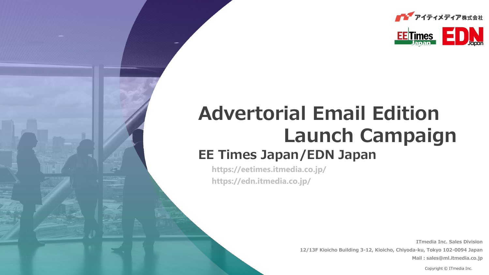



# **Advertorial Email Edition Launch Campaign EE Times Japan/EDN Japan**

**https://eetimes.itmedia.co.jp/ https://edn.itmedia.co.jp/**

> **ITmedia Inc. Sales Division 12/13F Kioicho Building 3-12, Kioicho, Chiyoda-ku, Tokyo 102-0094 Japan Mail:sales@ml.itmedia.co.jp**

Copyright © ITmedia Inc.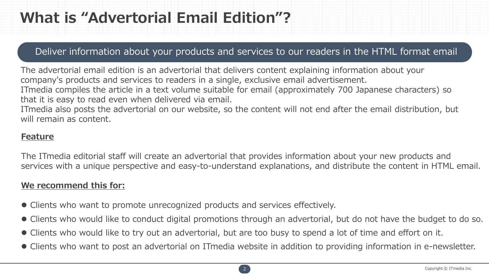# **What is "Advertorial Email Edition"?**

### Deliver information about your products and services to our readers in the HTML format email

The advertorial email edition is an advertorial that delivers content explaining information about your company's products and services to readers in a single, exclusive email advertisement. ITmedia compiles the article in a text volume suitable for email (approximately 700 Japanese characters) so that it is easy to read even when delivered via email.

ITmedia also posts the advertorial on our website, so the content will not end after the email distribution, but will remain as content.

#### **Feature**

The ITmedia editorial staff will create an advertorial that provides information about your new products and services with a unique perspective and easy-to-understand explanations, and distribute the content in HTML email.

### **We recommend this for:**

- ⚫ Clients who want to promote unrecognized products and services effectively.
- ⚫ Clients who would like to conduct digital promotions through an advertorial, but do not have the budget to do so.
- ⚫ Clients who would like to try out an advertorial, but are too busy to spend a lot of time and effort on it.
- ⚫ Clients who want to post an advertorial on ITmedia website in addition to providing information in e-newsletter.

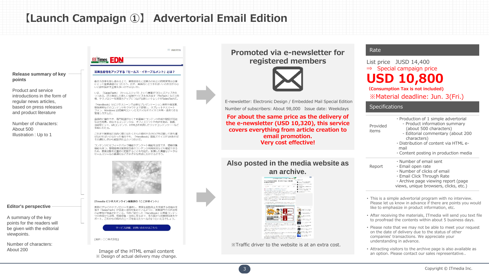## **【Launch Campaign ①】 Advertorial Email Edition**



### **Promoted via e-newsletter for registered members**



E-newsletter: Electronic Design / Embedded Mail Special Edition Number of subscribers: About 98,000 Issue date: Weekdays

**For about the same price as the delivery of the e-newsletter (USD 10,320), this service covers everything from article creation to email promotion. Very cost effective!**

#### **Also posted in the media website as an archive.**

## **ELECTRICIAN SUPERIOR ESAN** マニュアル作成を自動化 デンダの「Dojo」で設計者<br>m/Mahft/Sditys **B** de la Michigan Par **WINDOWS - THE WIL** .<br>A compositor e de la constitución de la constitución de la constitución de la constitución de la constitución

※Traffic driver to the website is at an extra cost.

#### Rate

List price JUSD 14,400 ⇒ Special campaign price **USD 10,800**

**(Consumption Tax is not included)** ※Material deadline: Jun. 3(Fri.)

#### **Specifications**

| Provided<br>items | · Production of 1 simple advertorial<br>- Product information summary<br>(about 500 characters)<br>- Editorial commentary (about 200<br>characters)<br>. Distribution of content via HTML e-<br>mail<br>• Content posting in production media |
|-------------------|-----------------------------------------------------------------------------------------------------------------------------------------------------------------------------------------------------------------------------------------------|
| Report            | $\cdot$ Number of email sent<br>· Email open rate<br>$\cdot$ Number of clicks of email<br>· Email Click Through Rate<br>· Archive page viewing report (page<br>views, unique browsers, clicks, etc.)                                          |
|                   |                                                                                                                                                                                                                                               |

- This is a simple advertorial program with no interview. Please let us know in advance if there are points you would like to emphasize in product information, etc.
- After receiving the materials, ITmedia will send you text file to proofread the contents within about 5 business days.
- Please note that we may not be able to meet your request on the date of delivery due to the status of other companies' transactions. We appreciate your understanding in advance.
- Attracting visitors to the archive page is also available as an option. Please contact our sales representative..



**Editor's perspective**

**points**

A summary of the key points for the readers will be given with the editorial viewpoints.

Number of characters: About 200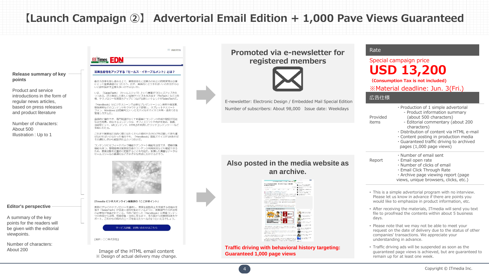## **【Launch Campaign ②】 Advertorial Email Edition + 1,000 Pave Views Guaranteed**

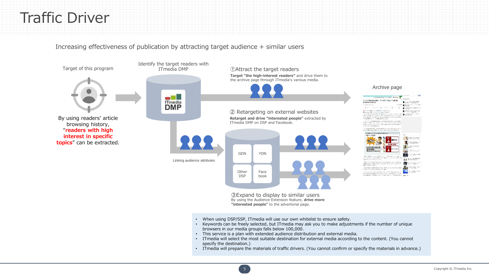## Traffic Driver

Increasing effectiveness of publication by attracting target audience + similar users



By using the Audience Extension feature, **drive more "interested people"** to the advertorial page.

- When using DSP/SSP, ITmedia will use our own whitelist to ensure safety.
- Keywords can be freely selected, but ITmedia may ask you to make adjustments if the number of unique browsers in our media groups falls below 100,000.
- This service is a plan with extended audience distribution and external media.
- ITmedia will select the most suitable destination for external media according to the content. (You cannot specify the destination.)
- ITmedia will prepare the materials of traffic drivers. (You cannot confirm or specify the materials in advance.)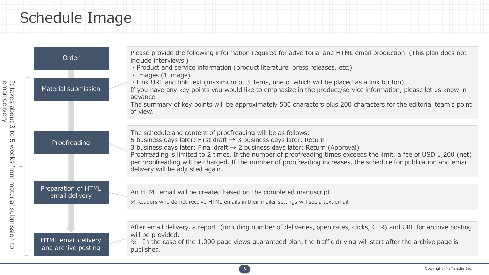## Schedule Image

| Order<br>Material submission               | Please provide the following information required for advertorial and HTML email production. (This plan does not<br>include interviews.)<br>· Product and service information (product literature, press releases, etc.)<br>$\cdot$ Images (1 image)<br>. Link URL and link text (maximum of 3 items, one of which will be placed as a link button)<br>If you have any key points you would like to emphasize in the product/service information, please let us know in<br>advance.<br>The summary of key points will be approximately 500 characters plus 200 characters for the editorial team's point<br>of view. |
|--------------------------------------------|----------------------------------------------------------------------------------------------------------------------------------------------------------------------------------------------------------------------------------------------------------------------------------------------------------------------------------------------------------------------------------------------------------------------------------------------------------------------------------------------------------------------------------------------------------------------------------------------------------------------|
| Proofreading                               | The schedule and content of proofreading will be as follows:<br>5 business days later: First draft $\rightarrow$ 3 business days later: Return<br>3 business days later: Final draft $\rightarrow$ 2 business days later: Return (Approval)<br>Proofreading is limited to 2 times. If the number of proofreading times exceeds the limit, a fee of USD 1,200 (net)<br>per proofreading will be charged. If the number of proofreading increases, the schedule for publication and email<br>delivery will be adjusted again.                                                                                          |
| Preparation of HTML<br>email delivery      | An HTML email will be created based on the completed manuscript.<br>※ Readers who do not receive HTML emails in their mailer settings will see a text email.                                                                                                                                                                                                                                                                                                                                                                                                                                                         |
| HTML email delivery<br>and archive posting | After email delivery, a report (including number of deliveries, open rates, clicks, CTR) and URL for archive posting<br>will be provided.<br>$\frac{3}{2}$ In the case of the 1,000 page views guaranteed plan, the traffic driving will start after the archive page is<br>published.                                                                                                                                                                                                                                                                                                                               |